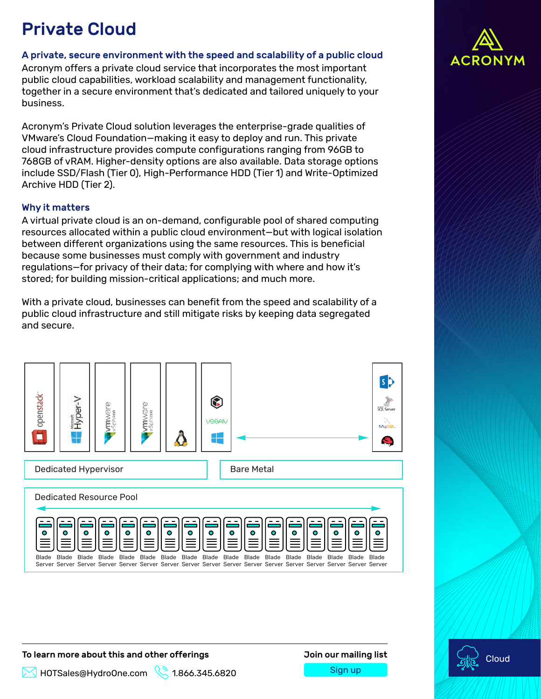# Private Cloud

#### A private, secure environment with the speed and scalability of a public cloud

Acronym offers a private cloud service that incorporates the most important public cloud capabilities, workload scalability and management functionality, together in a secure environment that's dedicated and tailored uniquely to your business.

Acronym's Private Cloud solution leverages the enterprise-grade qualities of VMware's Cloud Foundation—making it easy to deploy and run. This private cloud infrastructure provides compute configurations ranging from 96GB to 768GB of vRAM. Higher-density options are also available. Data storage options include SSD/Flash (Tier 0), High-Performance HDD (Tier 1) and Write-Optimized Archive HDD (Tier 2).

#### Why it matters

A virtual private cloud is an on-demand, configurable pool of shared computing resources allocated within a public cloud environment—but with logical isolation between different organizations using the same resources. This is beneficial because some businesses must comply with government and industry regulations—for privacy of their data; for complying with where and how it's stored; for building mission-critical applications; and much more.

With a private cloud, businesses can benefit from the speed and scalability of a public cloud infrastructure and still mitigate risks by keeping data segregated and secure.



To learn more about this and other offerings Join our mailing list